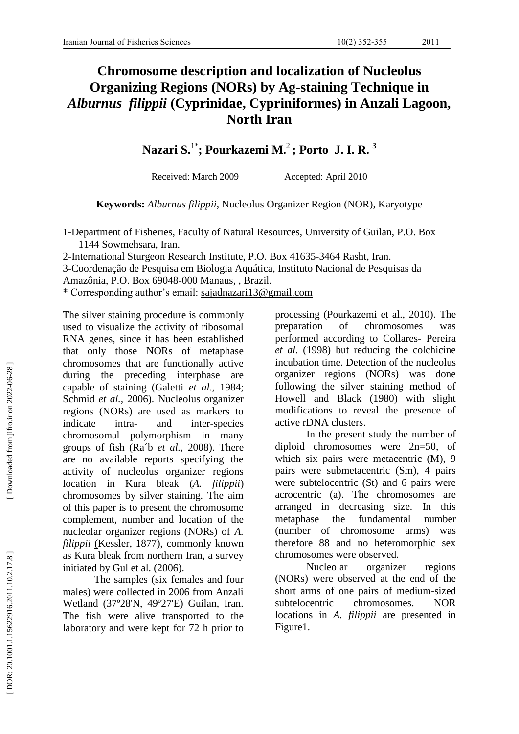## **Chromosome description and localization of Nucleolus Organizing Regions (NORs) by Ag -staining Technique in**  *Alburnus filippii* **(Cyprinidae, Cypriniformes) in Anzali Lagoon, North Ira n**

**Nazari S.** 1 \* **; Pourkazemi M.** 2 **; Porto J. I. R. 3**

Received: March 2009 Accepted: April 2010

**Keywords:** *Alburnus filippii*, Nucleolus Organizer Region (NOR), Karyotype

1 -Department of Fisheries, Faculty of Natural Resources, University of Guilan, P.O. Box 1144 Sowmehsara, Iran .

2 -International Sturgeon Research Institute, P.O. Box 41635 -3464 Rasht, Iran .

3 -Coordenação de Pesquisa em Biologia Aquática, Instituto Nacional de Pesquisas da

Amazônia, P.O. Box 69048 -000 Manaus, , Brazil.

\* Corresponding author's email: [sajadnazari13@gmail.com](mailto:sajadnazari13@gmail.com)

The silver staining procedure is commonly used to visualize the activity of ribosomal RNA genes , since it has been established that only those NORs of metaphase chromosomes that are functionally active during the preceding interphase are capable of staining (Galetti *et al.,* 1984; Schmid *et al.,* 2006). Nucleolus organizer regions (NORs) are used as markers to indicate intra - and inter -species chromosomal polymorphism in many groups of fish (Ra´b *et al.,* 2008). There are no available reports specifying the activity of nucleolus organizer regions location in Kura bleak (*A. filippii*) chromosomes by silver staining. The aim of this paper is to present the chromosome complement, number and location of the nucleolar organizer regions (NORs) of *A. filippii*  [\(Kessler, 1877\)](http://www.fishbase.org/Eschmeyer/EschmeyerSummary.cfm?RefNo=2597), commonly known as Kura bleak from northern Iran, a survey initiated by Gul et al. (2006).

The samples (six females and four males) were collected in 2006 from Anzali Wetland (37º28'N, 49º27'E) Guilan, Iran. The fish were alive transported to the laboratory and were kept for 72 h prior to

processing (Pourkazemi et al., 2010). The preparation of chromosomes was performed according to Collares - Pereira *et al*. (1998) but reducing the colchicine incubation time. Detection of the nucleolus organizer regions (NORs) was done following the silver staining method of Howell and Black (1980) with slight modifications to reveal the presence of active rDNA clusters.

In the present study the number of diploid chromosomes were 2n=50, of which six pairs were metacentric (M), 9 pairs were submetacentric (Sm), 4 pairs were subtelocentric (St) and 6 pairs were acrocentric (a). The chromosomes are arranged in decreasing size. In this metaphase the fundamental number (number of chromosome arms) was therefore 88 and no heteromorphic sex chromosomes were observed.

Nucleolar organizer regions (NORs) were observed at the end of the short arms of one pairs of medium -sized subtelocentric chromosomes. NOR locations in *A. filippii* are presented in Figure1.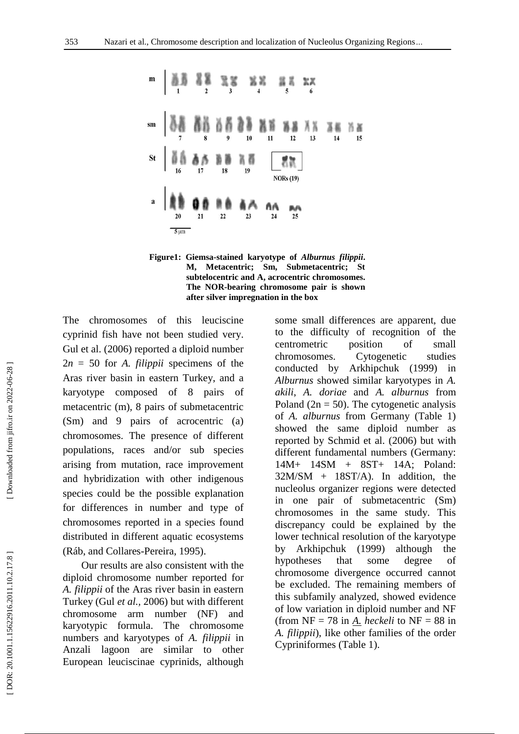



The chromosomes of this leuciscine cyprinid fish have not been studied very. Gul et al. (2006) reported a diploid number 2*<sup>n</sup>* <sup>=</sup> 50 for *A. filippii* specimens of the Aras river basin in eastern Turkey, and a karyotype composed of 8 pairs of metacentric (m), 8 pairs of submetacentric (Sm) and 9 pairs of acrocentric (a) chromosomes. The presence of different populations, races and/or sub species arising from mutation, race improvement and hybridization with other indigenous species could be the possible explanation for differences in number and type of chromosome s reported in a species found distributed in different aquatic ecosystems (Ráb, and Collares -Pereira, 1995).

Our results are also consistent with the diploid chromosome number reported for *A. filippii* of the Aras river basin in eastern Turkey (Gul *et al.,* 2006) but with different chromosome arm number (NF) and karyotypic formula. The chromosome numbers and karyotypes of *A. filippii* in Anzali lagoon are similar to other European leuciscinae cyprinids, although some small differences are apparent, due to the difficulty of recognition of the centrometric position of small chromosomes. Cytogenetic studies conducted by Arkhipchuk (1999) in *Alburnus* showed similar karyotypes in *A. akili*, *A. doriae* and *A. alburnus* from Poland ( $2n = 50$ ). The cytogenetic analysis of *A. alburnus* from Germany (Table 1) showed the same diploid number as reported by Schmid et al. (2006) but with different fundamental number s (Germany: 14M+ 14SM + 8ST+ 14A; Poland:  $32M/SM + 18ST/A$ . In addition, the nucleolus organizer regions were detected in one pair of submetacentric (Sm) chromosomes in the same study. This discrepancy could be explained by the lower technical resolution of the karyotype by Arkhipchuk (1999) although the hypotheses that some degree of chromosome divergence occurred cannot be excluded. The remaining members of this subfamily analyzed, showed evidence of low variation in diploid number and NF (from  $NF = 78$  in  $\underline{A}$ . *heckeli* to  $NF = 88$  in *A. filippii*), like other families of the order Cypriniformes (Table 1).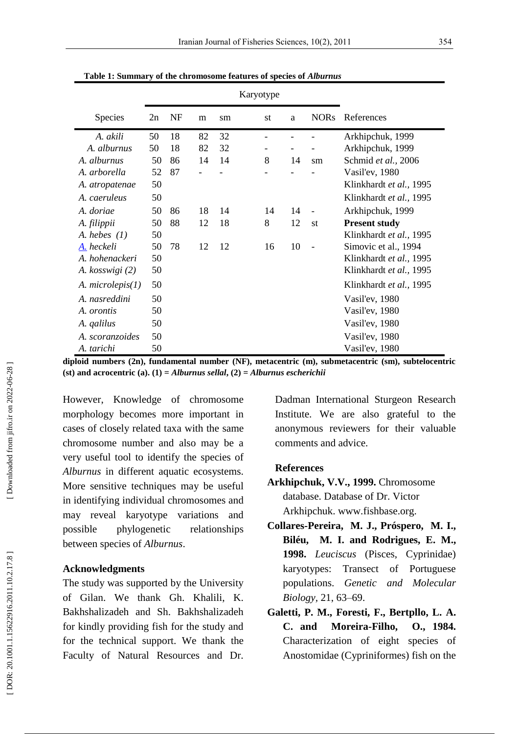|                     |    |           |    | Karyotype |                              |    |                          |                         |
|---------------------|----|-----------|----|-----------|------------------------------|----|--------------------------|-------------------------|
| Species             | 2n | <b>NF</b> | m  | sm        | st                           | a  | <b>NORs</b>              | References              |
| A. akili            | 50 | 18        | 82 | 32        |                              |    |                          | Arkhipchuk, 1999        |
| A. alburnus         | 50 | 18        | 82 | 32        | $\qquad \qquad \blacksquare$ |    |                          | Arkhipchuk, 1999        |
| A. alburnus         | 50 | 86        | 14 | 14        | 8                            | 14 | sm                       | Schmid et al., 2006     |
| A. arborella        | 52 | 87        |    |           |                              |    |                          | Vasil'ev, 1980          |
| A. atropatenae      | 50 |           |    |           |                              |    |                          | Klinkhardt et al., 1995 |
| A. caeruleus        | 50 |           |    |           |                              |    |                          | Klinkhardt et al., 1995 |
| A. doriae           | 50 | 86        | 18 | 14        | 14                           | 14 | $\blacksquare$           | Arkhipchuk, 1999        |
| A. filippii         | 50 | 88        | 12 | 18        | 8                            | 12 | st                       | <b>Present study</b>    |
| A. hebes $(1)$      | 50 |           |    |           |                              |    |                          | Klinkhardt et al., 1995 |
| A. heckeli          | 50 | 78        | 12 | 12        | 16                           | 10 | $\overline{\phantom{a}}$ | Simovic et al., 1994    |
| A. hohenackeri      | 50 |           |    |           |                              |    |                          | Klinkhardt et al., 1995 |
| A. kosswigi (2)     | 50 |           |    |           |                              |    |                          | Klinkhardt et al., 1995 |
| A. microlepis $(1)$ | 50 |           |    |           |                              |    |                          | Klinkhardt et al., 1995 |
| A. nasreddini       | 50 |           |    |           |                              |    |                          | Vasil'ev, 1980          |
| A. <i>orontis</i>   | 50 |           |    |           |                              |    |                          | Vasil'ev, 1980          |
| A. <i>qalilus</i>   | 50 |           |    |           |                              |    |                          | Vasil'ev, 1980          |
| A. scoranzoides     | 50 |           |    |           |                              |    |                          | Vasil'ev, 1980          |
| A. tarichi          | 50 |           |    |           |                              |    |                          | Vasil'ev, 1980          |

**Table 1 : Summary of the chromosome features of species of** *Alburnus*

**diploid numbers (2n), fundamental number (NF), metacentric (m), submetacentric (sm), subtelocentric (st) and acrocentric (a). (1) =** *Alburnus sellal***, (2) =** *Alburnus escherichii*

However, Knowledge of chromosome morphology becomes more important in cases of closely related taxa with the same chromosome number and also may be a very useful tool to identify the species of *Alburnus* in different aquatic ecosystems. More sensitive techniques may be useful in identifying individual chromosomes and may reveal karyotype variations and possible phylogenetic relationships between species of *Alburnus*.

## **Acknowledgments**

The study was supported by the University of Gilan. We thank Gh. Khalili, K. Bakhshalizadeh and Sh. Bakhshalizadeh for kindly providing fish for the study and for the technical support. We thank the Faculty of Natural Resources and Dr. Dadman International Sturgeon Research Institute. We are also grateful to the anonymous reviewers for their valuable comments and advice.

## **References**

- **Arkhipchuk, V.V., 1999.** Chromosome database. Database of Dr. Victor Arkhipchuk. www.fishbase.org.
- **Collares -Pereira, M. J., Próspero, M. I., Biléu, M. I. and Rodrigues, E. M., 1998.** *Leuciscus* (Pisces, Cyprinidae) karyotypes: Transect of Portuguese populations. *Genetic and Molecular Biology ,* 21 , 63 –69.
- **Galetti, P. M., Foresti, F., Bertpllo, L. A. C. and Moreira -Filho, O., 1984.** Characterization of eight species of Anostomidae (Cypriniformes) fish on the